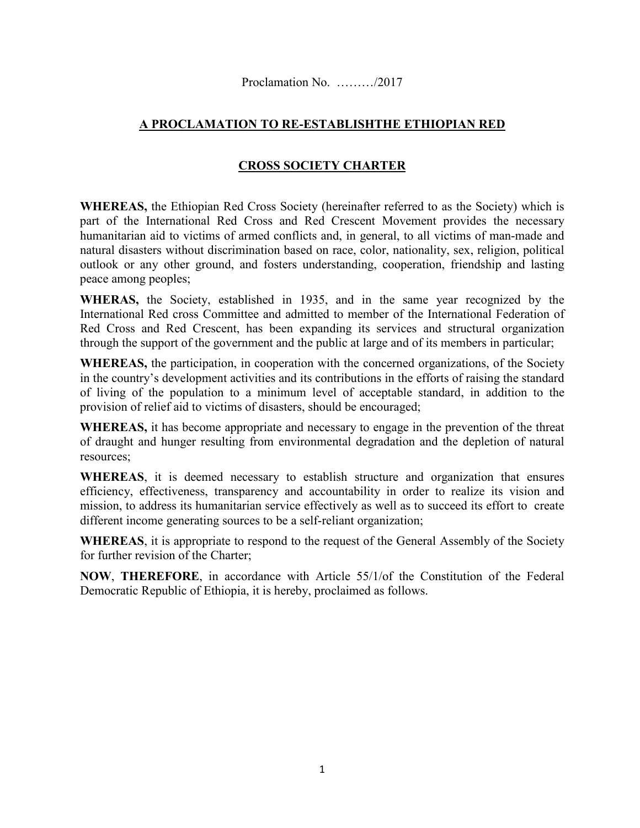## **A PROCLAMATION TO RE-ESTABLISHTHE ETHIOPIAN RED**

## **CROSS SOCIETY CHARTER**

**WHEREAS,** the Ethiopian Red Cross Society (hereinafter referred to as the Society) which is part of the International Red Cross and Red Crescent Movement provides the necessary humanitarian aid to victims of armed conflicts and, in general, to all victims of man-made and natural disasters without discrimination based on race, color, nationality, sex, religion, political outlook or any other ground, and fosters understanding, cooperation, friendship and lasting peace among peoples;

**WHERAS,** the Society, established in 1935, and in the same year recognized by the International Red cross Committee and admitted to member of the International Federation of Red Cross and Red Crescent, has been expanding its services and structural organization through the support of the government and the public at large and of its members in particular;

**WHEREAS,** the participation, in cooperation with the concerned organizations, of the Society in the country's development activities and its contributions in the efforts of raising the standard of living of the population to a minimum level of acceptable standard, in addition to the provision of relief aid to victims of disasters, should be encouraged;

**WHEREAS,** it has become appropriate and necessary to engage in the prevention of the threat of draught and hunger resulting from environmental degradation and the depletion of natural resources;

**WHEREAS**, it is deemed necessary to establish structure and organization that ensures efficiency, effectiveness, transparency and accountability in order to realize its vision and mission, to address its humanitarian service effectively as well as to succeed its effort to create different income generating sources to be a self-reliant organization;

**WHEREAS**, it is appropriate to respond to the request of the General Assembly of the Society for further revision of the Charter;

**NOW**, **THEREFORE**, in accordance with Article 55/1/of the Constitution of the Federal Democratic Republic of Ethiopia, it is hereby, proclaimed as follows.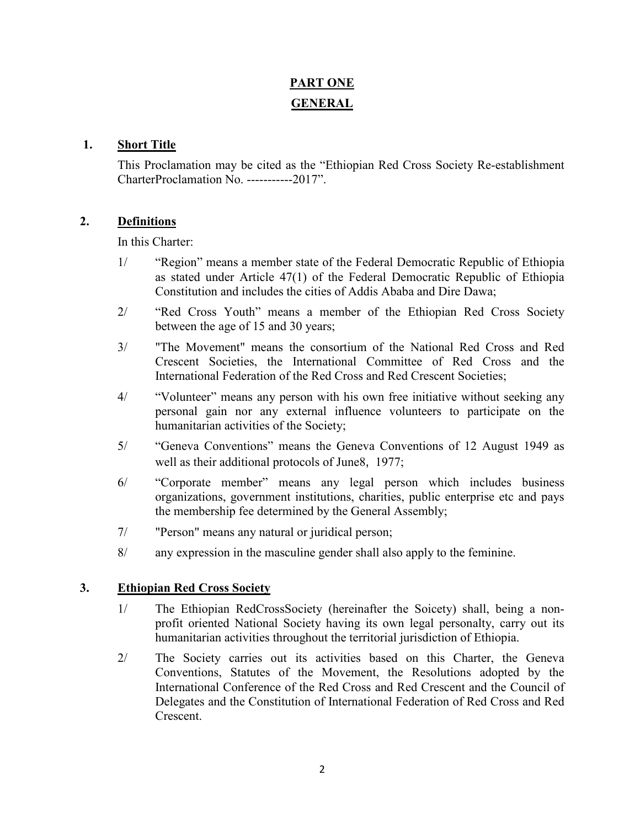# **PART ONE GENERAL**

#### **1. Short Title**

This Proclamation may be cited as the "Ethiopian Red Cross Society Re-establishment CharterProclamation No. -----------2017".

## **2. Definitions**

In this Charter:

- 1/ "Region" means a member state of the Federal Democratic Republic of Ethiopia as stated under Article 47(1) of the Federal Democratic Republic of Ethiopia Constitution and includes the cities of Addis Ababa and Dire Dawa;
- 2/ "Red Cross Youth" means a member of the Ethiopian Red Cross Society between the age of 15 and 30 years;
- 3/ "The Movement" means the consortium of the National Red Cross and Red Crescent Societies, the International Committee of Red Cross and the International Federation of the Red Cross and Red Crescent Societies;
- 4/ "Volunteer" means any person with his own free initiative without seeking any personal gain nor any external influence volunteers to participate on the humanitarian activities of the Society;
- 5/ "Geneva Conventions" means the Geneva Conventions of 12 August 1949 as well as their additional protocols of June8, 1977;
- 6/ "Corporate member" means any legal person which includes business organizations, government institutions, charities, public enterprise etc and pays the membership fee determined by the General Assembly;
- 7/ "Person" means any natural or juridical person;
- 8/ any expression in the masculine gender shall also apply to the feminine.

## **3. Ethiopian Red Cross Society**

- 1/ The Ethiopian RedCrossSociety (hereinafter the Soicety) shall, being a nonprofit oriented National Society having its own legal personalty, carry out its humanitarian activities throughout the territorial jurisdiction of Ethiopia.
- 2/ The Society carries out its activities based on this Charter, the Geneva Conventions, Statutes of the Movement, the Resolutions adopted by the International Conference of the Red Cross and Red Crescent and the Council of Delegates and the Constitution of International Federation of Red Cross and Red Crescent.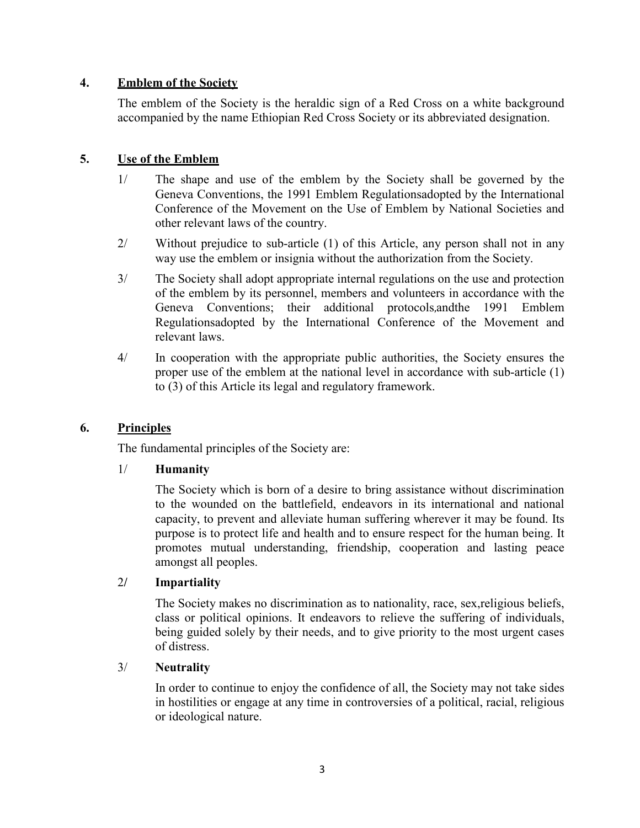## **4. Emblem of the Society**

The emblem of the Society is the heraldic sign of a Red Cross on a white background accompanied by the name Ethiopian Red Cross Society or its abbreviated designation.

## **5. Use of the Emblem**

- 1/ The shape and use of the emblem by the Society shall be governed by the Geneva Conventions, the 1991 Emblem Regulationsadopted by the International Conference of the Movement on the Use of Emblem by National Societies and other relevant laws of the country.
- 2/ Without prejudice to sub-article (1) of this Article, any person shall not in any way use the emblem or insignia without the authorization from the Society.
- 3/ The Society shall adopt appropriate internal regulations on the use and protection of the emblem by its personnel, members and volunteers in accordance with the Geneva Conventions; their additional protocols,andthe 1991 Emblem Regulationsadopted by the International Conference of the Movement and relevant laws.
- 4/ In cooperation with the appropriate public authorities, the Society ensures the proper use of the emblem at the national level in accordance with sub-article (1) to (3) of this Article its legal and regulatory framework.

## **6. Principles**

The fundamental principles of the Society are:

## 1/ **Humanity**

The Society which is born of a desire to bring assistance without discrimination to the wounded on the battlefield, endeavors in its international and national capacity, to prevent and alleviate human suffering wherever it may be found. Its purpose is to protect life and health and to ensure respect for the human being. It promotes mutual understanding, friendship, cooperation and lasting peace amongst all peoples.

## 2**/ Impartiality**

The Society makes no discrimination as to nationality, race, sex,religious beliefs, class or political opinions. It endeavors to relieve the suffering of individuals, being guided solely by their needs, and to give priority to the most urgent cases of distress.

## 3/ **Neutrality**

In order to continue to enjoy the confidence of all, the Society may not take sides in hostilities or engage at any time in controversies of a political, racial, religious or ideological nature.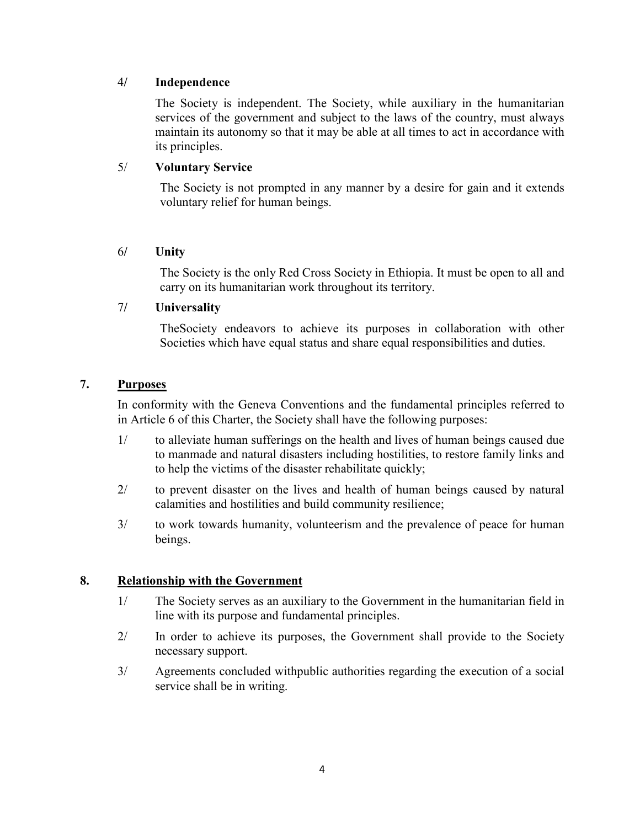#### 4**/ Independence**

The Society is independent. The Society, while auxiliary in the humanitarian services of the government and subject to the laws of the country, must always maintain its autonomy so that it may be able at all times to act in accordance with its principles.

## 5/ **Voluntary Service**

The Society is not prompted in any manner by a desire for gain and it extends voluntary relief for human beings.

#### 6**/ Unity**

The Society is the only Red Cross Society in Ethiopia. It must be open to all and carry on its humanitarian work throughout its territory.

#### 7**/ Universality**

TheSociety endeavors to achieve its purposes in collaboration with other Societies which have equal status and share equal responsibilities and duties.

## **7. Purposes**

In conformity with the Geneva Conventions and the fundamental principles referred to in Article 6 of this Charter, the Society shall have the following purposes:

- 1/ to alleviate human sufferings on the health and lives of human beings caused due to manmade and natural disasters including hostilities, to restore family links and to help the victims of the disaster rehabilitate quickly;
- 2/ to prevent disaster on the lives and health of human beings caused by natural calamities and hostilities and build community resilience;
- 3/ to work towards humanity, volunteerism and the prevalence of peace for human beings.

## **8. Relationship with the Government**

- 1/ The Society serves as an auxiliary to the Government in the humanitarian field in line with its purpose and fundamental principles.
- 2/ In order to achieve its purposes, the Government shall provide to the Society necessary support.
- 3/ Agreements concluded withpublic authorities regarding the execution of a social service shall be in writing.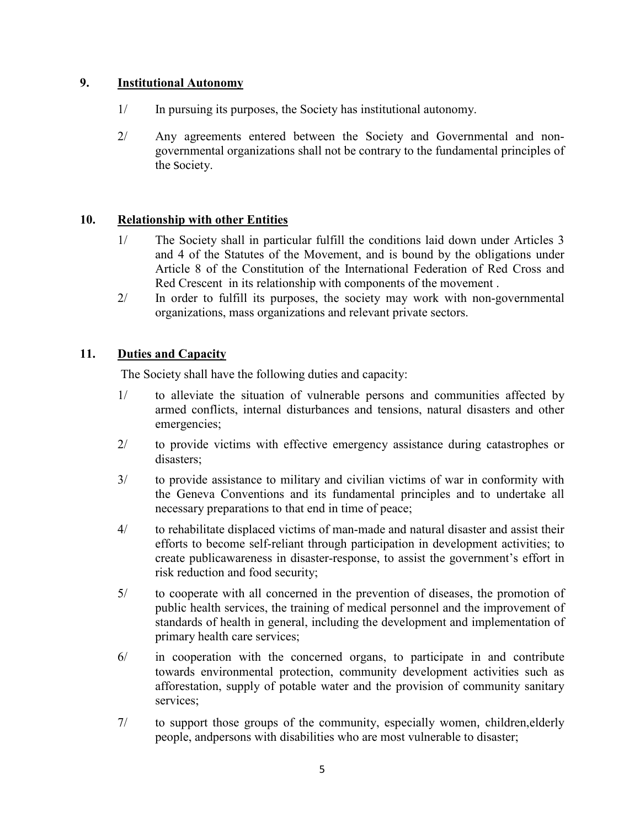## **9. Institutional Autonomy**

- 1/ In pursuing its purposes, the Society has institutional autonomy.
- 2/ Any agreements entered between the Society and Governmental and nongovernmental organizations shall not be contrary to the fundamental principles of the Society.

#### **10. Relationship with other Entities**

- 1/ The Society shall in particular fulfill the conditions laid down under Articles 3 and 4 of the Statutes of the Movement, and is bound by the obligations under Article 8 of the Constitution of the International Federation of Red Cross and Red Crescent in its relationship with components of the movement .
- 2/ In order to fulfill its purposes, the society may work with non-governmental organizations, mass organizations and relevant private sectors.

#### **11. Duties and Capacity**

The Society shall have the following duties and capacity:

- 1/ to alleviate the situation of vulnerable persons and communities affected by armed conflicts, internal disturbances and tensions, natural disasters and other emergencies;
- 2/ to provide victims with effective emergency assistance during catastrophes or disasters;
- 3/ to provide assistance to military and civilian victims of war in conformity with the Geneva Conventions and its fundamental principles and to undertake all necessary preparations to that end in time of peace;
- 4/ to rehabilitate displaced victims of man-made and natural disaster and assist their efforts to become self-reliant through participation in development activities; to create publicawareness in disaster-response, to assist the government's effort in risk reduction and food security;
- 5/ to cooperate with all concerned in the prevention of diseases, the promotion of public health services, the training of medical personnel and the improvement of standards of health in general, including the development and implementation of primary health care services;
- 6/ in cooperation with the concerned organs, to participate in and contribute towards environmental protection, community development activities such as afforestation, supply of potable water and the provision of community sanitary services;
- 7/ to support those groups of the community, especially women, children,elderly people, andpersons with disabilities who are most vulnerable to disaster;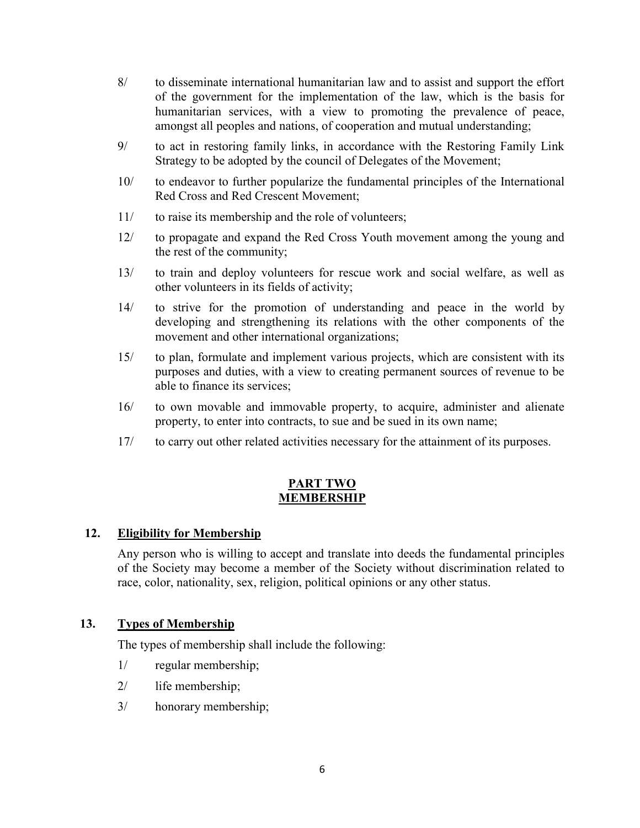- 8/ to disseminate international humanitarian law and to assist and support the effort of the government for the implementation of the law, which is the basis for humanitarian services, with a view to promoting the prevalence of peace, amongst all peoples and nations, of cooperation and mutual understanding;
- 9/ to act in restoring family links, in accordance with the Restoring Family Link Strategy to be adopted by the council of Delegates of the Movement;
- 10/ to endeavor to further popularize the fundamental principles of the International Red Cross and Red Crescent Movement;
- 11/ to raise its membership and the role of volunteers;
- 12/ to propagate and expand the Red Cross Youth movement among the young and the rest of the community;
- 13/ to train and deploy volunteers for rescue work and social welfare, as well as other volunteers in its fields of activity;
- 14/ to strive for the promotion of understanding and peace in the world by developing and strengthening its relations with the other components of the movement and other international organizations;
- 15/ to plan, formulate and implement various projects, which are consistent with its purposes and duties, with a view to creating permanent sources of revenue to be able to finance its services;
- 16/ to own movable and immovable property, to acquire, administer and alienate property, to enter into contracts, to sue and be sued in its own name;
- 17/ to carry out other related activities necessary for the attainment of its purposes.

#### **PART TWO MEMBERSHIP**

## **12. Eligibility for Membership**

Any person who is willing to accept and translate into deeds the fundamental principles of the Society may become a member of the Society without discrimination related to race, color, nationality, sex, religion, political opinions or any other status.

## **13. Types of Membership**

The types of membership shall include the following:

- 1/ regular membership;
- 2/ life membership;
- 3/ honorary membership;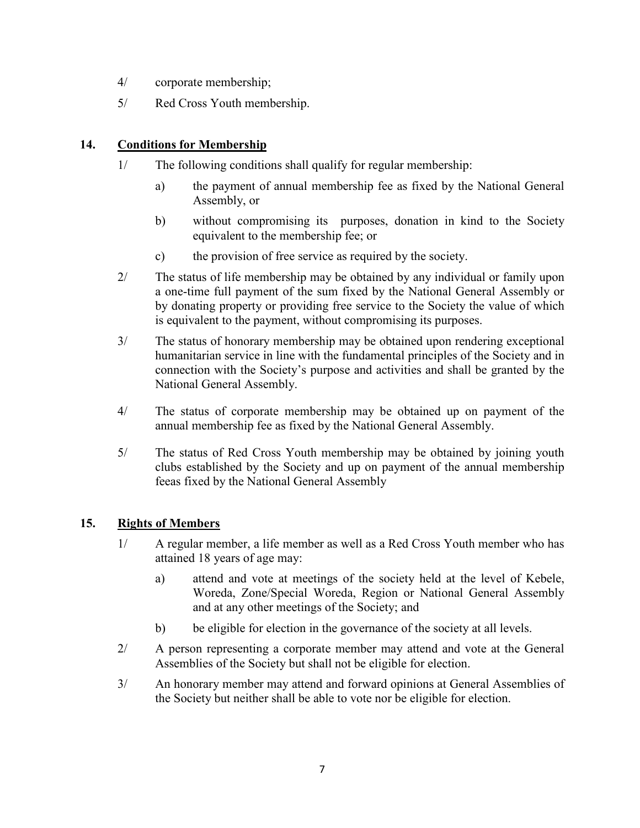- 4/ corporate membership;
- 5/ Red Cross Youth membership.

## **14. Conditions for Membership**

- 1/ The following conditions shall qualify for regular membership:
	- a) the payment of annual membership fee as fixed by the National General Assembly, or
	- b) without compromising its purposes, donation in kind to the Society equivalent to the membership fee; or
	- c) the provision of free service as required by the society.
- 2/ The status of life membership may be obtained by any individual or family upon a one-time full payment of the sum fixed by the National General Assembly or by donating property or providing free service to the Society the value of which is equivalent to the payment, without compromising its purposes.
- 3/ The status of honorary membership may be obtained upon rendering exceptional humanitarian service in line with the fundamental principles of the Society and in connection with the Society's purpose and activities and shall be granted by the National General Assembly.
- 4/ The status of corporate membership may be obtained up on payment of the annual membership fee as fixed by the National General Assembly.
- 5/ The status of Red Cross Youth membership may be obtained by joining youth clubs established by the Society and up on payment of the annual membership feeas fixed by the National General Assembly

## **15. Rights of Members**

- 1/ A regular member, a life member as well as a Red Cross Youth member who has attained 18 years of age may:
	- a) attend and vote at meetings of the society held at the level of Kebele, Woreda, Zone/Special Woreda, Region or National General Assembly and at any other meetings of the Society; and
	- b) be eligible for election in the governance of the society at all levels.
- 2/ A person representing a corporate member may attend and vote at the General Assemblies of the Society but shall not be eligible for election.
- 3/ An honorary member may attend and forward opinions at General Assemblies of the Society but neither shall be able to vote nor be eligible for election.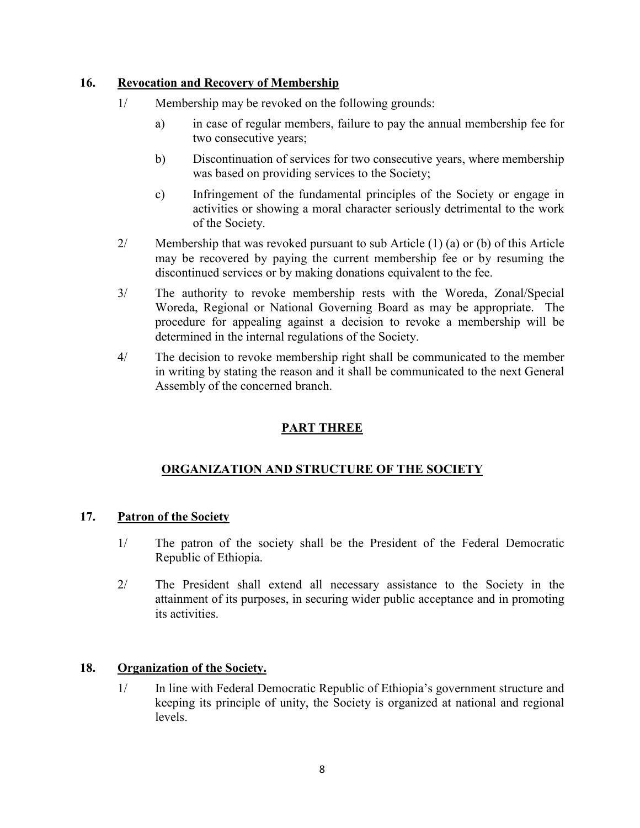## **16. Revocation and Recovery of Membership**

- 1/ Membership may be revoked on the following grounds:
	- a) in case of regular members, failure to pay the annual membership fee for two consecutive years;
	- b) Discontinuation of services for two consecutive years, where membership was based on providing services to the Society;
	- c) Infringement of the fundamental principles of the Society or engage in activities or showing a moral character seriously detrimental to the work of the Society.
- 2/ Membership that was revoked pursuant to sub Article (1) (a) or (b) of this Article may be recovered by paying the current membership fee or by resuming the discontinued services or by making donations equivalent to the fee.
- 3/ The authority to revoke membership rests with the Woreda, Zonal/Special Woreda, Regional or National Governing Board as may be appropriate. The procedure for appealing against a decision to revoke a membership will be determined in the internal regulations of the Society.
- 4/ The decision to revoke membership right shall be communicated to the member in writing by stating the reason and it shall be communicated to the next General Assembly of the concerned branch.

## **PART THREE**

## **ORGANIZATION AND STRUCTURE OF THE SOCIETY**

## **17. Patron of the Society**

- 1/ The patron of the society shall be the President of the Federal Democratic Republic of Ethiopia.
- 2/ The President shall extend all necessary assistance to the Society in the attainment of its purposes, in securing wider public acceptance and in promoting its activities.

## **18. Organization of the Society.**

1/ In line with Federal Democratic Republic of Ethiopia's government structure and keeping its principle of unity, the Society is organized at national and regional levels.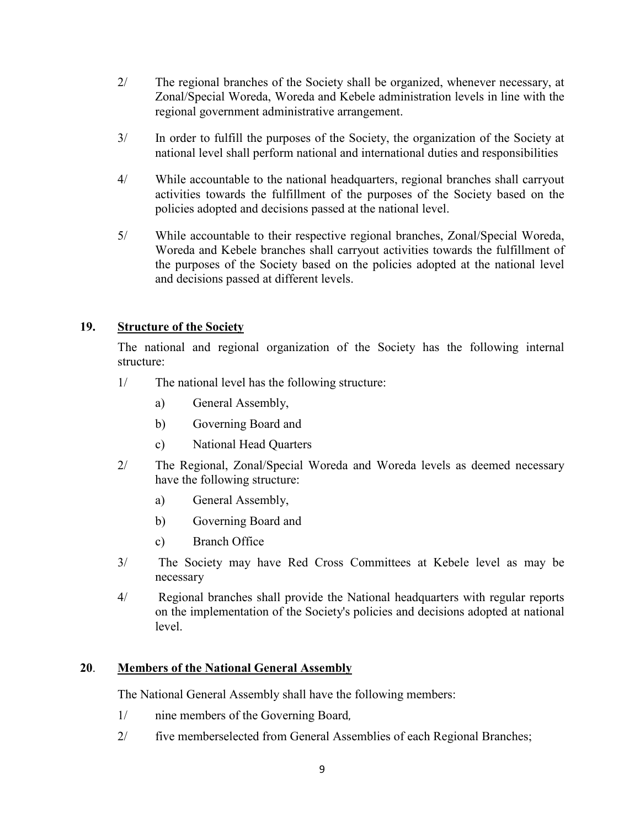- 2/ The regional branches of the Society shall be organized, whenever necessary, at Zonal/Special Woreda, Woreda and Kebele administration levels in line with the regional government administrative arrangement.
- 3/ In order to fulfill the purposes of the Society, the organization of the Society at national level shall perform national and international duties and responsibilities
- 4/ While accountable to the national headquarters, regional branches shall carryout activities towards the fulfillment of the purposes of the Society based on the policies adopted and decisions passed at the national level.
- 5/ While accountable to their respective regional branches, Zonal/Special Woreda, Woreda and Kebele branches shall carryout activities towards the fulfillment of the purposes of the Society based on the policies adopted at the national level and decisions passed at different levels.

## **19. Structure of the Society**

The national and regional organization of the Society has the following internal structure:

- 1/ The national level has the following structure:
	- a) General Assembly,
	- b) Governing Board and
	- c) National Head Quarters
- 2/ The Regional, Zonal/Special Woreda and Woreda levels as deemed necessary have the following structure:
	- a) General Assembly,
	- b) Governing Board and
	- c) Branch Office
- 3/ The Society may have Red Cross Committees at Kebele level as may be necessary
- 4/ Regional branches shall provide the National headquarters with regular reports on the implementation of the Society's policies and decisions adopted at national level.

## **20**. **Members of the National General Assembly**

The National General Assembly shall have the following members:

- 1/ nine members of the Governing Board,
- 2/ five memberselected from General Assemblies of each Regional Branches;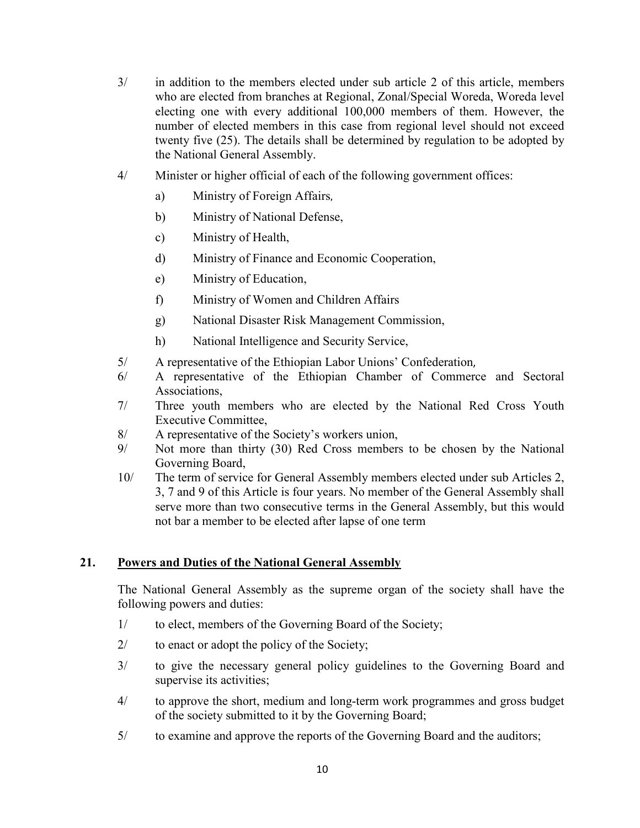- 3/ in addition to the members elected under sub article 2 of this article, members who are elected from branches at Regional, Zonal/Special Woreda, Woreda level electing one with every additional 100,000 members of them. However, the number of elected members in this case from regional level should not exceed twenty five (25). The details shall be determined by regulation to be adopted by the National General Assembly.
- 4/ Minister or higher official of each of the following government offices:
	- a) Ministry of Foreign Affairs,
	- b) Ministry of National Defense,
	- c) Ministry of Health,
	- d) Ministry of Finance and Economic Cooperation,
	- e) Ministry of Education,
	- f) Ministry of Women and Children Affairs
	- g) National Disaster Risk Management Commission,
	- h) National Intelligence and Security Service,
- 5/ A representative of the Ethiopian Labor Unions' Confederation,
- 6/ A representative of the Ethiopian Chamber of Commerce and Sectoral Associations,
- 7/ Three youth members who are elected by the National Red Cross Youth Executive Committee,
- 8/ A representative of the Society's workers union,
- 9/ Not more than thirty (30) Red Cross members to be chosen by the National Governing Board,
- 10/ The term of service for General Assembly members elected under sub Articles 2, 3, 7 and 9 of this Article is four years. No member of the General Assembly shall serve more than two consecutive terms in the General Assembly, but this would not bar a member to be elected after lapse of one term

#### **21. Powers and Duties of the National General Assembly**

The National General Assembly as the supreme organ of the society shall have the following powers and duties:

- 1/ to elect, members of the Governing Board of the Society;
- 2/ to enact or adopt the policy of the Society;
- 3/ to give the necessary general policy guidelines to the Governing Board and supervise its activities;
- 4/ to approve the short, medium and long-term work programmes and gross budget of the society submitted to it by the Governing Board;
- 5/ to examine and approve the reports of the Governing Board and the auditors;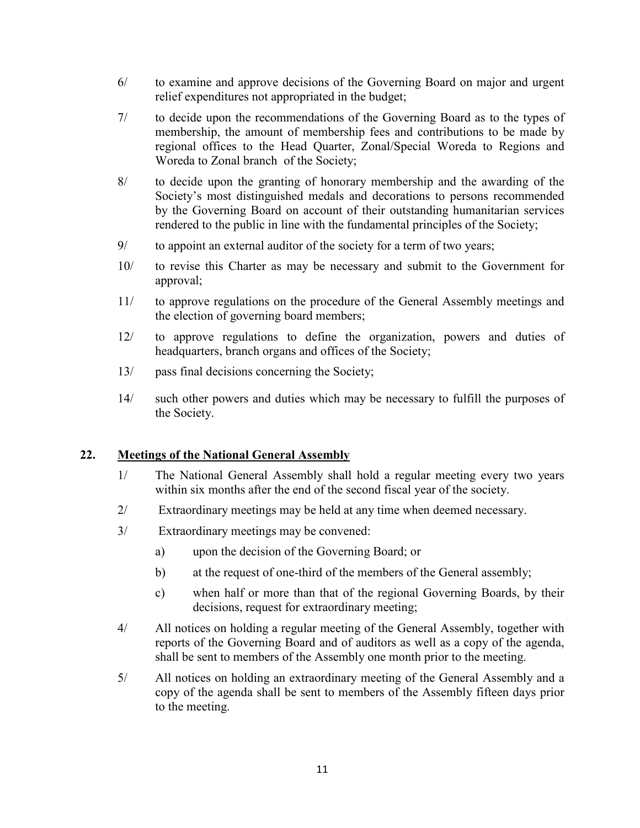- 6/ to examine and approve decisions of the Governing Board on major and urgent relief expenditures not appropriated in the budget;
- 7/ to decide upon the recommendations of the Governing Board as to the types of membership, the amount of membership fees and contributions to be made by regional offices to the Head Quarter, Zonal/Special Woreda to Regions and Woreda to Zonal branch of the Society;
- 8/ to decide upon the granting of honorary membership and the awarding of the Society's most distinguished medals and decorations to persons recommended by the Governing Board on account of their outstanding humanitarian services rendered to the public in line with the fundamental principles of the Society;
- 9/ to appoint an external auditor of the society for a term of two years;
- 10/ to revise this Charter as may be necessary and submit to the Government for approval;
- 11/ to approve regulations on the procedure of the General Assembly meetings and the election of governing board members;
- 12/ to approve regulations to define the organization, powers and duties of headquarters, branch organs and offices of the Society;
- 13/ pass final decisions concerning the Society;
- 14/ such other powers and duties which may be necessary to fulfill the purposes of the Society.

## **22. Meetings of the National General Assembly**

- 1/ The National General Assembly shall hold a regular meeting every two years within six months after the end of the second fiscal year of the society.
- 2/ Extraordinary meetings may be held at any time when deemed necessary.
- 3/ Extraordinary meetings may be convened:
	- a) upon the decision of the Governing Board; or
	- b) at the request of one-third of the members of the General assembly;
	- c) when half or more than that of the regional Governing Boards, by their decisions, request for extraordinary meeting;
- 4/ All notices on holding a regular meeting of the General Assembly, together with reports of the Governing Board and of auditors as well as a copy of the agenda, shall be sent to members of the Assembly one month prior to the meeting.
- 5/ All notices on holding an extraordinary meeting of the General Assembly and a copy of the agenda shall be sent to members of the Assembly fifteen days prior to the meeting.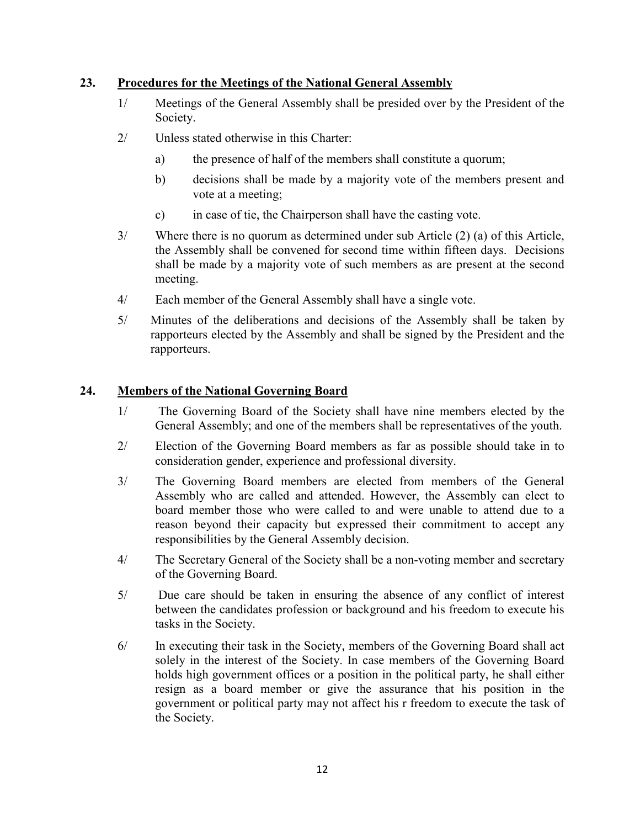## **23. Procedures for the Meetings of the National General Assembly**

- 1/ Meetings of the General Assembly shall be presided over by the President of the Society.
- 2/ Unless stated otherwise in this Charter:
	- a) the presence of half of the members shall constitute a quorum;
	- b) decisions shall be made by a majority vote of the members present and vote at a meeting;
	- c) in case of tie, the Chairperson shall have the casting vote.
- 3/ Where there is no quorum as determined under sub Article (2) (a) of this Article, the Assembly shall be convened for second time within fifteen days. Decisions shall be made by a majority vote of such members as are present at the second meeting.
- 4/ Each member of the General Assembly shall have a single vote.
- 5/ Minutes of the deliberations and decisions of the Assembly shall be taken by rapporteurs elected by the Assembly and shall be signed by the President and the rapporteurs.

## **24. Members of the National Governing Board**

- 1/ The Governing Board of the Society shall have nine members elected by the General Assembly; and one of the members shall be representatives of the youth.
- 2/ Election of the Governing Board members as far as possible should take in to consideration gender, experience and professional diversity.
- 3/ The Governing Board members are elected from members of the General Assembly who are called and attended. However, the Assembly can elect to board member those who were called to and were unable to attend due to a reason beyond their capacity but expressed their commitment to accept any responsibilities by the General Assembly decision.
- 4/ The Secretary General of the Society shall be a non-voting member and secretary of the Governing Board.
- 5/ Due care should be taken in ensuring the absence of any conflict of interest between the candidates profession or background and his freedom to execute his tasks in the Society.
- 6/ In executing their task in the Society, members of the Governing Board shall act solely in the interest of the Society. In case members of the Governing Board holds high government offices or a position in the political party, he shall either resign as a board member or give the assurance that his position in the government or political party may not affect his r freedom to execute the task of the Society.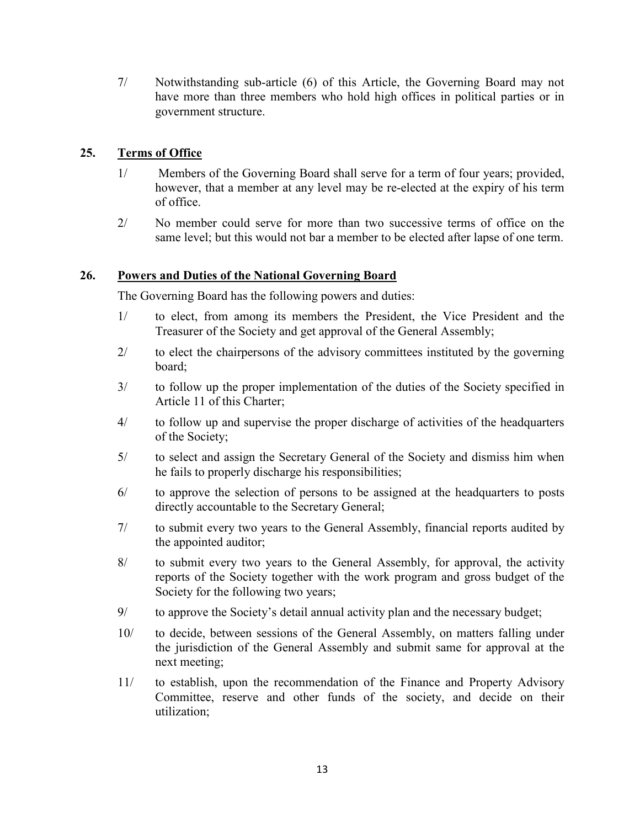7/ Notwithstanding sub-article (6) of this Article, the Governing Board may not have more than three members who hold high offices in political parties or in government structure.

## **25. Terms of Office**

- 1/ Members of the Governing Board shall serve for a term of four years; provided, however, that a member at any level may be re-elected at the expiry of his term of office.
- 2/ No member could serve for more than two successive terms of office on the same level; but this would not bar a member to be elected after lapse of one term.

## **26. Powers and Duties of the National Governing Board**

The Governing Board has the following powers and duties:

- 1/ to elect, from among its members the President, the Vice President and the Treasurer of the Society and get approval of the General Assembly;
- 2/ to elect the chairpersons of the advisory committees instituted by the governing board;
- 3/ to follow up the proper implementation of the duties of the Society specified in Article 11 of this Charter;
- 4/ to follow up and supervise the proper discharge of activities of the headquarters of the Society;
- 5/ to select and assign the Secretary General of the Society and dismiss him when he fails to properly discharge his responsibilities;
- 6/ to approve the selection of persons to be assigned at the headquarters to posts directly accountable to the Secretary General;
- 7/ to submit every two years to the General Assembly, financial reports audited by the appointed auditor;
- 8/ to submit every two years to the General Assembly, for approval, the activity reports of the Society together with the work program and gross budget of the Society for the following two years;
- 9/ to approve the Society's detail annual activity plan and the necessary budget;
- 10/ to decide, between sessions of the General Assembly, on matters falling under the jurisdiction of the General Assembly and submit same for approval at the next meeting;
- 11/ to establish, upon the recommendation of the Finance and Property Advisory Committee, reserve and other funds of the society, and decide on their utilization;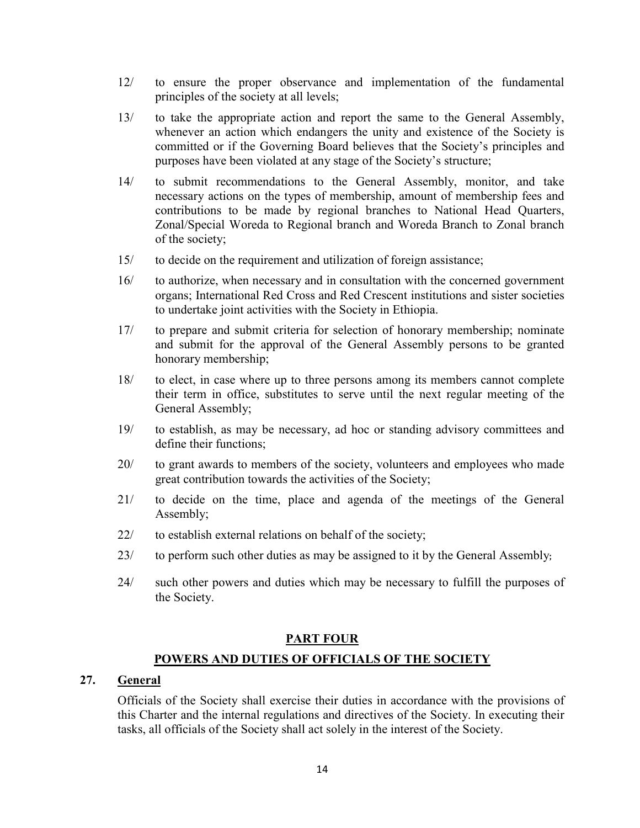- 12/ to ensure the proper observance and implementation of the fundamental principles of the society at all levels;
- 13/ to take the appropriate action and report the same to the General Assembly, whenever an action which endangers the unity and existence of the Society is committed or if the Governing Board believes that the Society's principles and purposes have been violated at any stage of the Society's structure;
- 14/ to submit recommendations to the General Assembly, monitor, and take necessary actions on the types of membership, amount of membership fees and contributions to be made by regional branches to National Head Quarters, Zonal/Special Woreda to Regional branch and Woreda Branch to Zonal branch of the society;
- 15/ to decide on the requirement and utilization of foreign assistance;
- 16/ to authorize, when necessary and in consultation with the concerned government organs; International Red Cross and Red Crescent institutions and sister societies to undertake joint activities with the Society in Ethiopia.
- 17/ to prepare and submit criteria for selection of honorary membership; nominate and submit for the approval of the General Assembly persons to be granted honorary membership;
- 18/ to elect, in case where up to three persons among its members cannot complete their term in office, substitutes to serve until the next regular meeting of the General Assembly;
- 19/ to establish, as may be necessary, ad hoc or standing advisory committees and define their functions;
- 20/ to grant awards to members of the society, volunteers and employees who made great contribution towards the activities of the Society;
- 21/ to decide on the time, place and agenda of the meetings of the General Assembly;
- 22/ to establish external relations on behalf of the society;
- 23/ to perform such other duties as may be assigned to it by the General Assembly;
- 24/ such other powers and duties which may be necessary to fulfill the purposes of the Society.

#### **PART FOUR**

#### **POWERS AND DUTIES OF OFFICIALS OF THE SOCIETY**

## **27. General**

Officials of the Society shall exercise their duties in accordance with the provisions of this Charter and the internal regulations and directives of the Society. In executing their tasks, all officials of the Society shall act solely in the interest of the Society.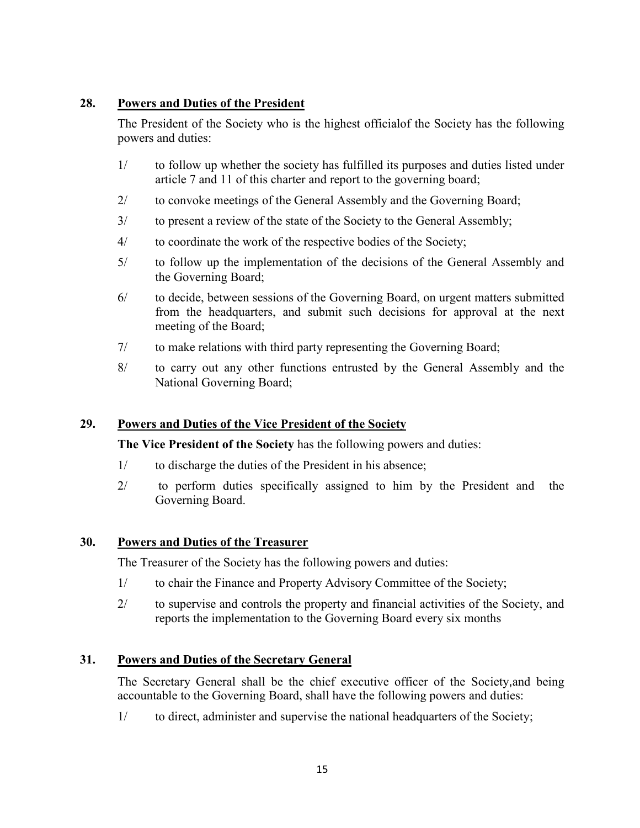## **28. Powers and Duties of the President**

The President of the Society who is the highest officialof the Society has the following powers and duties:

- 1/ to follow up whether the society has fulfilled its purposes and duties listed under article 7 and 11 of this charter and report to the governing board;
- 2/ to convoke meetings of the General Assembly and the Governing Board;
- 3/ to present a review of the state of the Society to the General Assembly;
- 4/ to coordinate the work of the respective bodies of the Society;
- 5/ to follow up the implementation of the decisions of the General Assembly and the Governing Board;
- 6/ to decide, between sessions of the Governing Board, on urgent matters submitted from the headquarters, and submit such decisions for approval at the next meeting of the Board;
- 7/ to make relations with third party representing the Governing Board;
- 8/ to carry out any other functions entrusted by the General Assembly and the National Governing Board;

## **29. Powers and Duties of the Vice President of the Society**

**The Vice President of the Society** has the following powers and duties:

- 1/ to discharge the duties of the President in his absence;
- 2/ to perform duties specifically assigned to him by the President and the Governing Board.

## **30. Powers and Duties of the Treasurer**

The Treasurer of the Society has the following powers and duties:

- 1/ to chair the Finance and Property Advisory Committee of the Society;
- 2/ to supervise and controls the property and financial activities of the Society, and reports the implementation to the Governing Board every six months

## **31. Powers and Duties of the Secretary General**

The Secretary General shall be the chief executive officer of the Society,and being accountable to the Governing Board, shall have the following powers and duties:

1/ to direct, administer and supervise the national headquarters of the Society;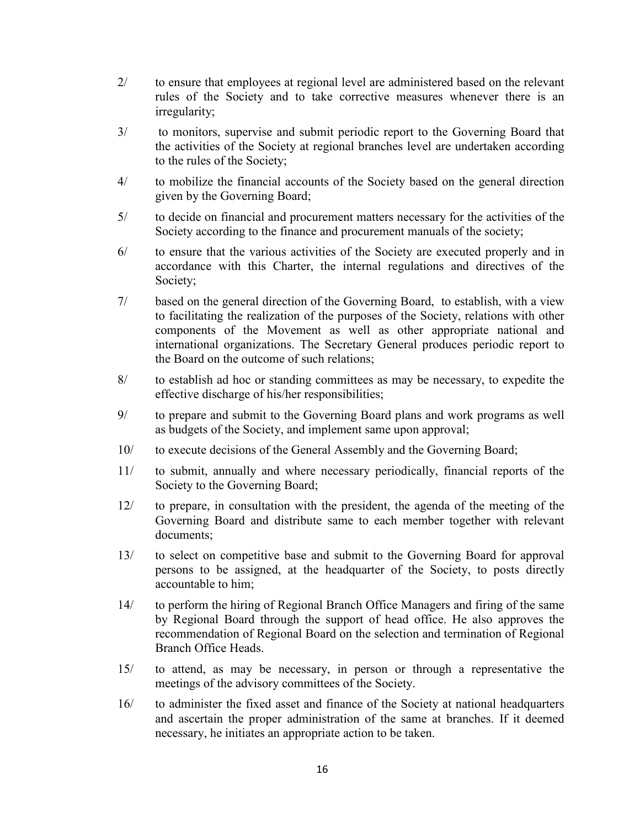- 2/ to ensure that employees at regional level are administered based on the relevant rules of the Society and to take corrective measures whenever there is an irregularity;
- 3/ to monitors, supervise and submit periodic report to the Governing Board that the activities of the Society at regional branches level are undertaken according to the rules of the Society;
- 4/ to mobilize the financial accounts of the Society based on the general direction given by the Governing Board;
- 5/ to decide on financial and procurement matters necessary for the activities of the Society according to the finance and procurement manuals of the society;
- 6/ to ensure that the various activities of the Society are executed properly and in accordance with this Charter, the internal regulations and directives of the Society;
- 7/ based on the general direction of the Governing Board, to establish, with a view to facilitating the realization of the purposes of the Society, relations with other components of the Movement as well as other appropriate national and international organizations. The Secretary General produces periodic report to the Board on the outcome of such relations;
- 8/ to establish ad hoc or standing committees as may be necessary, to expedite the effective discharge of his/her responsibilities;
- 9/ to prepare and submit to the Governing Board plans and work programs as well as budgets of the Society, and implement same upon approval;
- 10/ to execute decisions of the General Assembly and the Governing Board;
- 11/ to submit, annually and where necessary periodically, financial reports of the Society to the Governing Board;
- 12/ to prepare, in consultation with the president, the agenda of the meeting of the Governing Board and distribute same to each member together with relevant documents;
- 13/ to select on competitive base and submit to the Governing Board for approval persons to be assigned, at the headquarter of the Society, to posts directly accountable to him;
- 14/ to perform the hiring of Regional Branch Office Managers and firing of the same by Regional Board through the support of head office. He also approves the recommendation of Regional Board on the selection and termination of Regional Branch Office Heads.
- 15/ to attend, as may be necessary, in person or through a representative the meetings of the advisory committees of the Society.
- 16/ to administer the fixed asset and finance of the Society at national headquarters and ascertain the proper administration of the same at branches. If it deemed necessary, he initiates an appropriate action to be taken.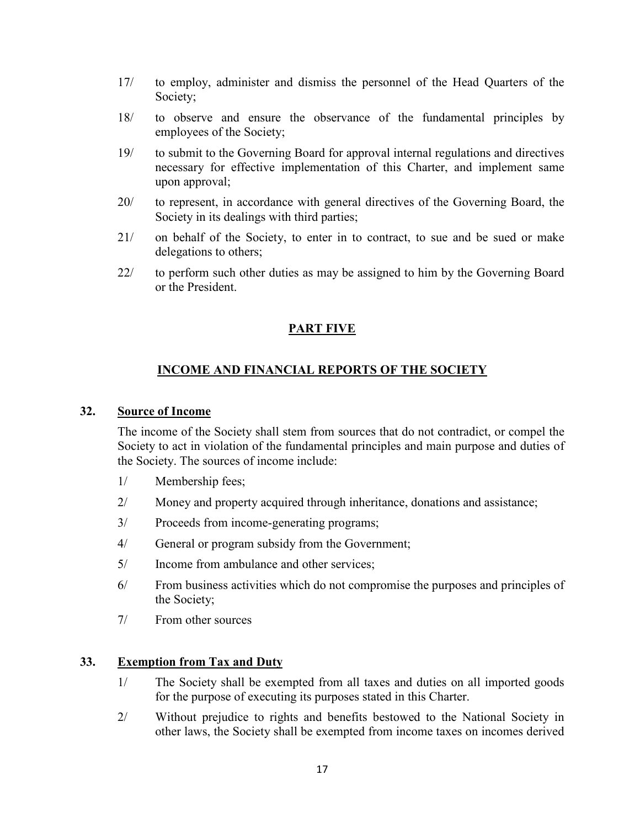- 17/ to employ, administer and dismiss the personnel of the Head Quarters of the Society;
- 18/ to observe and ensure the observance of the fundamental principles by employees of the Society;
- 19/ to submit to the Governing Board for approval internal regulations and directives necessary for effective implementation of this Charter, and implement same upon approval;
- 20/ to represent, in accordance with general directives of the Governing Board, the Society in its dealings with third parties;
- 21/ on behalf of the Society, to enter in to contract, to sue and be sued or make delegations to others;
- 22/ to perform such other duties as may be assigned to him by the Governing Board or the President.

## **PART FIVE**

## **INCOME AND FINANCIAL REPORTS OF THE SOCIETY**

#### **32. Source of Income**

The income of the Society shall stem from sources that do not contradict, or compel the Society to act in violation of the fundamental principles and main purpose and duties of the Society. The sources of income include:

- 1/ Membership fees;
- 2/ Money and property acquired through inheritance, donations and assistance;
- 3/ Proceeds from income-generating programs;
- 4/ General or program subsidy from the Government;
- 5/ Income from ambulance and other services;
- 6/ From business activities which do not compromise the purposes and principles of the Society;
- 7/ From other sources

## **33. Exemption from Tax and Duty**

- 1/ The Society shall be exempted from all taxes and duties on all imported goods for the purpose of executing its purposes stated in this Charter.
- 2/ Without prejudice to rights and benefits bestowed to the National Society in other laws, the Society shall be exempted from income taxes on incomes derived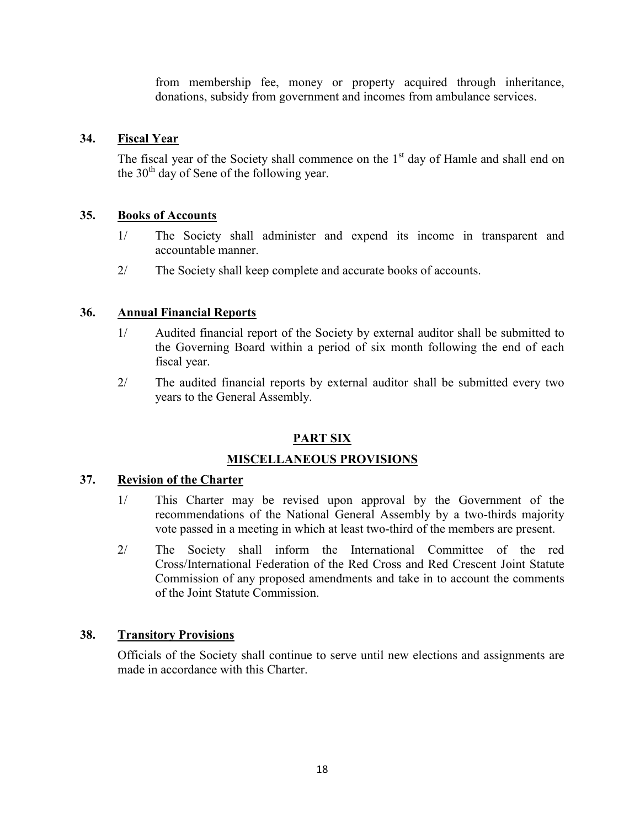from membership fee, money or property acquired through inheritance, donations, subsidy from government and incomes from ambulance services.

#### **34. Fiscal Year**

The fiscal year of the Society shall commence on the  $1<sup>st</sup>$  day of Hamle and shall end on the  $30<sup>th</sup>$  day of Sene of the following year.

#### **35. Books of Accounts**

- 1/ The Society shall administer and expend its income in transparent and accountable manner.
- 2/ The Society shall keep complete and accurate books of accounts.

#### **36. Annual Financial Reports**

- 1/ Audited financial report of the Society by external auditor shall be submitted to the Governing Board within a period of six month following the end of each fiscal year.
- 2/ The audited financial reports by external auditor shall be submitted every two years to the General Assembly.

## **PART SIX**

#### **MISCELLANEOUS PROVISIONS**

### **37. Revision of the Charter**

- 1/ This Charter may be revised upon approval by the Government of the recommendations of the National General Assembly by a two-thirds majority vote passed in a meeting in which at least two-third of the members are present.
- 2/ The Society shall inform the International Committee of the red Cross/International Federation of the Red Cross and Red Crescent Joint Statute Commission of any proposed amendments and take in to account the comments of the Joint Statute Commission.

#### **38. Transitory Provisions**

Officials of the Society shall continue to serve until new elections and assignments are made in accordance with this Charter.